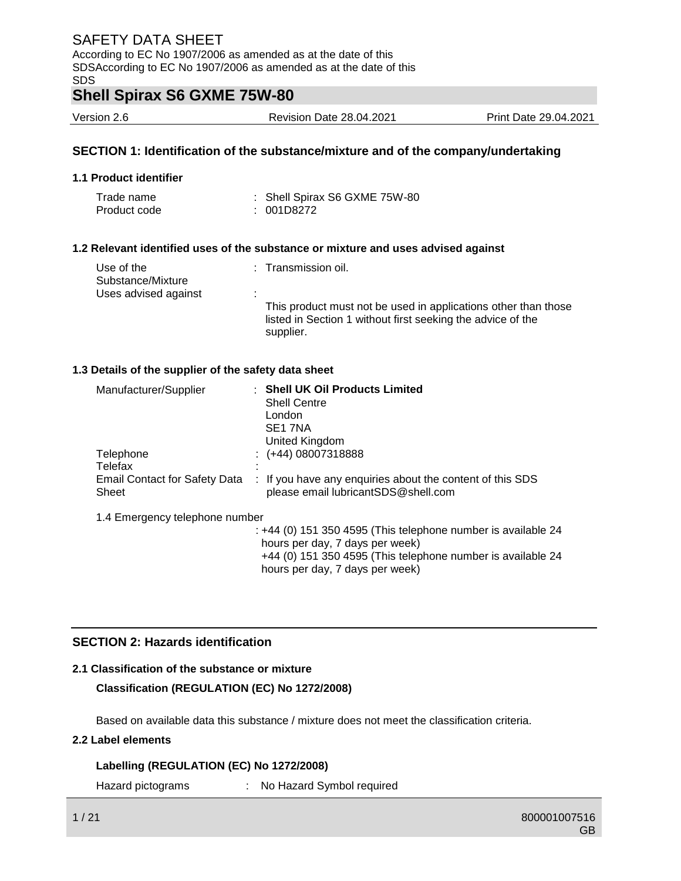### **Shell Spirax S6 GXME 75W-80**

Version 2.6 Revision Date 28.04.2021 Print Date 29.04.2021

### **SECTION 1: Identification of the substance/mixture and of the company/undertaking**

### **1.1 Product identifier**

| Trade name   | : Shell Spirax S6 GXME 75W-80 |
|--------------|-------------------------------|
| Product code | : 001D8272                    |

### **1.2 Relevant identified uses of the substance or mixture and uses advised against**

| Use of the<br>Substance/Mixture | : Transmission oil.                                                                                                                        |
|---------------------------------|--------------------------------------------------------------------------------------------------------------------------------------------|
| Uses advised against            |                                                                                                                                            |
|                                 | This product must not be used in applications other than those<br>listed in Section 1 without first seeking the advice of the<br>supplier. |

### **1.3 Details of the supplier of the safety data sheet**

| Manufacturer/Supplier                  | : Shell UK Oil Products Limited<br><b>Shell Centre</b><br>London<br>SE <sub>1</sub> 7NA<br>United Kingdom                                                                                            |
|----------------------------------------|------------------------------------------------------------------------------------------------------------------------------------------------------------------------------------------------------|
| Telephone                              | $\div$ (+44) 08007318888                                                                                                                                                                             |
| Telefax                                |                                                                                                                                                                                                      |
| Email Contact for Safety Data<br>Sheet | : If you have any enquiries about the content of this SDS<br>please email lubricantSDS@shell.com                                                                                                     |
| 1.4 Emergency telephone number         |                                                                                                                                                                                                      |
|                                        | : +44 (0) 151 350 4595 (This telephone number is available 24<br>hours per day, 7 days per week)<br>$+44$ (0) 151 350 4595 (This telephone number is available 24<br>hours per day, 7 days per week) |

### **SECTION 2: Hazards identification**

### **2.1 Classification of the substance or mixture**

**Classification (REGULATION (EC) No 1272/2008)**

Based on available data this substance / mixture does not meet the classification criteria.

### **2.2 Label elements**

### **Labelling (REGULATION (EC) No 1272/2008)**

Hazard pictograms : No Hazard Symbol required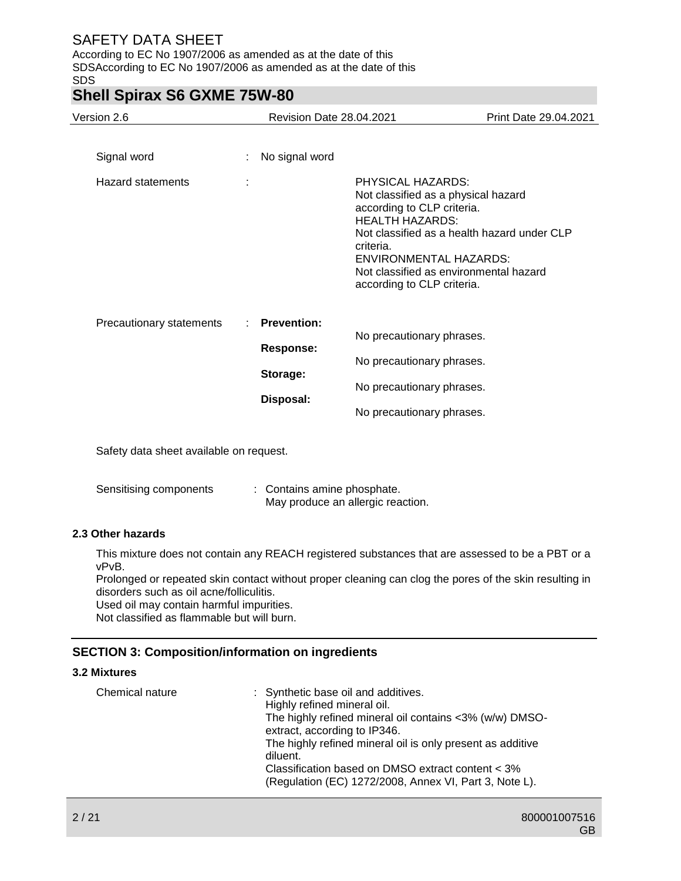According to EC No 1907/2006 as amended as at the date of this SDSAccording to EC No 1907/2006 as amended as at the date of this SDS

## **Shell Spirax S6 GXME 75W-80**

| Version 2.6                      | Revision Date 28.04.2021                                        |                                                                                                                                                                                                                                        | Print Date 29.04.2021                       |
|----------------------------------|-----------------------------------------------------------------|----------------------------------------------------------------------------------------------------------------------------------------------------------------------------------------------------------------------------------------|---------------------------------------------|
| Signal word<br>Hazard statements | No signal word<br>$\mathbb{R}^{\mathbb{Z}}$<br>t                | PHYSICAL HAZARDS:<br>Not classified as a physical hazard<br>according to CLP criteria.<br><b>HEALTH HAZARDS:</b><br>criteria.<br><b>ENVIRONMENTAL HAZARDS:</b><br>Not classified as environmental hazard<br>according to CLP criteria. | Not classified as a health hazard under CLP |
| Precautionary statements         | <b>Prevention:</b><br><b>Response:</b><br>Storage:<br>Disposal: | No precautionary phrases.<br>No precautionary phrases.<br>No precautionary phrases.<br>No precautionary phrases.                                                                                                                       |                                             |

Safety data sheet available on request.

| Sensitising components | : Contains amine phosphate.       |
|------------------------|-----------------------------------|
|                        | May produce an allergic reaction. |

### **2.3 Other hazards**

This mixture does not contain any REACH registered substances that are assessed to be a PBT or a vPvB.

Prolonged or repeated skin contact without proper cleaning can clog the pores of the skin resulting in disorders such as oil acne/folliculitis.

Used oil may contain harmful impurities.

Not classified as flammable but will burn.

### **SECTION 3: Composition/information on ingredients**

### **3.2 Mixtures**

| Chemical nature | : Synthetic base oil and additives.<br>Highly refined mineral oil.<br>The highly refined mineral oil contains <3% (w/w) DMSO-<br>extract, according to IP346.<br>The highly refined mineral oil is only present as additive<br>diluent.<br>Classification based on DMSO extract content < 3% |
|-----------------|----------------------------------------------------------------------------------------------------------------------------------------------------------------------------------------------------------------------------------------------------------------------------------------------|
|                 | (Regulation (EC) 1272/2008, Annex VI, Part 3, Note L).                                                                                                                                                                                                                                       |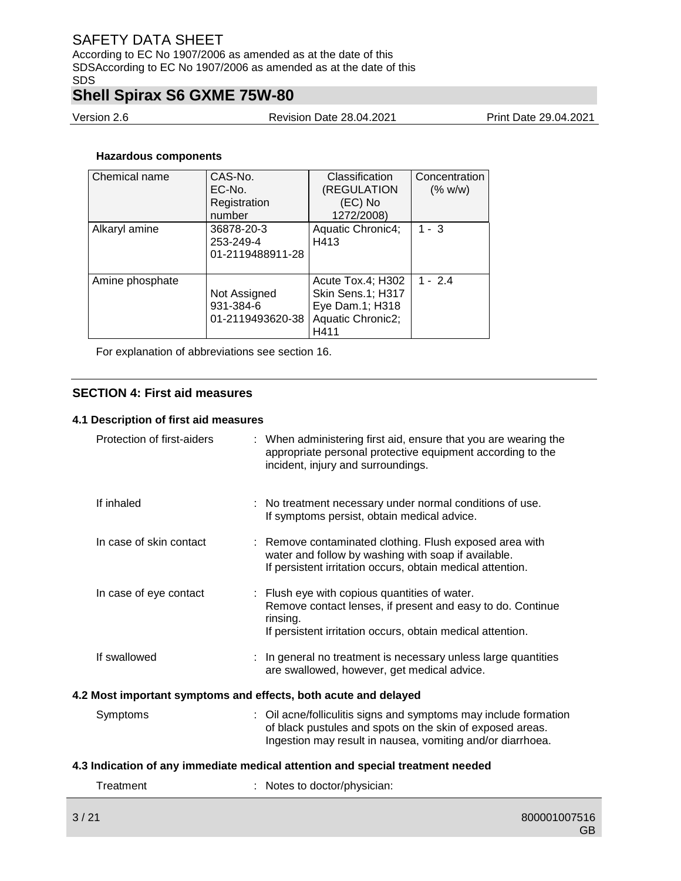According to EC No 1907/2006 as amended as at the date of this SDSAccording to EC No 1907/2006 as amended as at the date of this SDS

# **Shell Spirax S6 GXME 75W-80**

Version 2.6 Revision Date 28.04.2021 Print Date 29.04.2021

### **Hazardous components**

| Chemical name   | CAS-No.          | Classification           | Concentration |
|-----------------|------------------|--------------------------|---------------|
|                 | EC-No.           | (REGULATION              | (% w/w)       |
|                 | Registration     | (EC) No                  |               |
|                 | number           | 1272/2008)               |               |
| Alkaryl amine   | 36878-20-3       | <b>Aquatic Chronic4:</b> | $1 - 3$       |
|                 | 253-249-4        | H413                     |               |
|                 | 01-2119488911-28 |                          |               |
|                 |                  |                          |               |
| Amine phosphate |                  | Acute Tox.4; H302        | $1 - 2.4$     |
|                 | Not Assigned     | Skin Sens.1; H317        |               |
|                 | 931-384-6        | Eye Dam.1; H318          |               |
|                 | 01-2119493620-38 | Aquatic Chronic2;        |               |
|                 |                  | H411                     |               |

For explanation of abbreviations see section 16.

### **SECTION 4: First aid measures**

### **4.1 Description of first aid measures**

|                                                                 | Protection of first-aiders |  | : When administering first aid, ensure that you are wearing the<br>appropriate personal protective equipment according to the<br>incident, injury and surroundings.                         |  |
|-----------------------------------------------------------------|----------------------------|--|---------------------------------------------------------------------------------------------------------------------------------------------------------------------------------------------|--|
|                                                                 | If inhaled                 |  | : No treatment necessary under normal conditions of use.<br>If symptoms persist, obtain medical advice.                                                                                     |  |
|                                                                 | In case of skin contact    |  | : Remove contaminated clothing. Flush exposed area with<br>water and follow by washing with soap if available.<br>If persistent irritation occurs, obtain medical attention.                |  |
|                                                                 | In case of eye contact     |  | : Flush eye with copious quantities of water.<br>Remove contact lenses, if present and easy to do. Continue<br>rinsing.<br>If persistent irritation occurs, obtain medical attention.       |  |
|                                                                 | If swallowed               |  | : In general no treatment is necessary unless large quantities<br>are swallowed, however, get medical advice.                                                                               |  |
| 4.2 Most important symptoms and effects, both acute and delayed |                            |  |                                                                                                                                                                                             |  |
|                                                                 | Symptoms                   |  | : Oil acne/folliculitis signs and symptoms may include formation<br>of black pustules and spots on the skin of exposed areas.<br>Ingestion may result in nausea, vomiting and/or diarrhoea. |  |
|                                                                 |                            |  | 4.3 Indication of any immediate medical attention and special treatment needed                                                                                                              |  |
|                                                                 | Treatment                  |  | : Notes to doctor/physician:                                                                                                                                                                |  |
|                                                                 |                            |  |                                                                                                                                                                                             |  |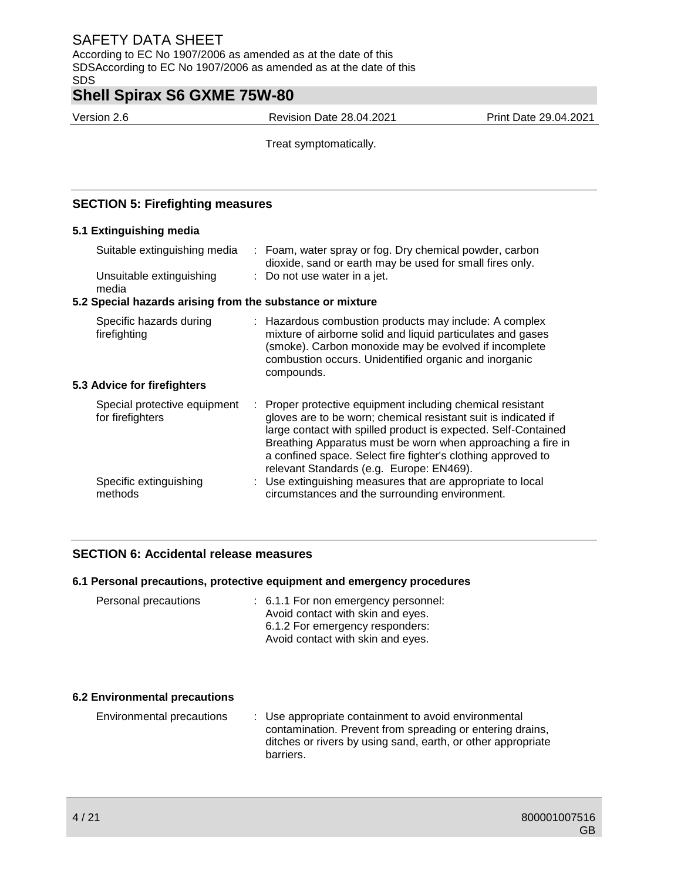According to EC No 1907/2006 as amended as at the date of this SDSAccording to EC No 1907/2006 as amended as at the date of this SDS

## **Shell Spirax S6 GXME 75W-80**

Version 2.6 Revision Date 28.04.2021 Print Date 29.04.2021

Treat symptomatically.

### **SECTION 5: Firefighting measures**

### **5.1 Extinguishing media**

| media<br>5.2 Special hazards arising from the substance or mixture<br>Specific hazards during<br>: Hazardous combustion products may include: A complex<br>firefighting<br>combustion occurs. Unidentified organic and inorganic<br>compounds.<br>5.3 Advice for firefighters<br>Special protective equipment<br>for firefighters<br>relevant Standards (e.g. Europe: EN469).<br>: Use extinguishing measures that are appropriate to local<br>Specific extinguishing<br>methods<br>circumstances and the surrounding environment. | Suitable extinguishing media<br>Unsuitable extinguishing | : Foam, water spray or fog. Dry chemical powder, carbon<br>dioxide, sand or earth may be used for small fires only.<br>: Do not use water in a jet.                                                                                                                                                                         |
|------------------------------------------------------------------------------------------------------------------------------------------------------------------------------------------------------------------------------------------------------------------------------------------------------------------------------------------------------------------------------------------------------------------------------------------------------------------------------------------------------------------------------------|----------------------------------------------------------|-----------------------------------------------------------------------------------------------------------------------------------------------------------------------------------------------------------------------------------------------------------------------------------------------------------------------------|
|                                                                                                                                                                                                                                                                                                                                                                                                                                                                                                                                    |                                                          |                                                                                                                                                                                                                                                                                                                             |
|                                                                                                                                                                                                                                                                                                                                                                                                                                                                                                                                    |                                                          |                                                                                                                                                                                                                                                                                                                             |
|                                                                                                                                                                                                                                                                                                                                                                                                                                                                                                                                    |                                                          | mixture of airborne solid and liquid particulates and gases<br>(smoke). Carbon monoxide may be evolved if incomplete                                                                                                                                                                                                        |
|                                                                                                                                                                                                                                                                                                                                                                                                                                                                                                                                    |                                                          |                                                                                                                                                                                                                                                                                                                             |
|                                                                                                                                                                                                                                                                                                                                                                                                                                                                                                                                    |                                                          | Proper protective equipment including chemical resistant<br>gloves are to be worn; chemical resistant suit is indicated if<br>large contact with spilled product is expected. Self-Contained<br>Breathing Apparatus must be worn when approaching a fire in<br>a confined space. Select fire fighter's clothing approved to |
|                                                                                                                                                                                                                                                                                                                                                                                                                                                                                                                                    |                                                          |                                                                                                                                                                                                                                                                                                                             |

### **SECTION 6: Accidental release measures**

### **6.1 Personal precautions, protective equipment and emergency procedures**

| Personal precautions | : 6.1.1 For non emergency personnel: |
|----------------------|--------------------------------------|
|                      | Avoid contact with skin and eyes.    |
|                      | 6.1.2 For emergency responders:      |
|                      | Avoid contact with skin and eyes.    |

### **6.2 Environmental precautions**

Environmental precautions : Use appropriate containment to avoid environmental contamination. Prevent from spreading or entering drains, ditches or rivers by using sand, earth, or other appropriate barriers.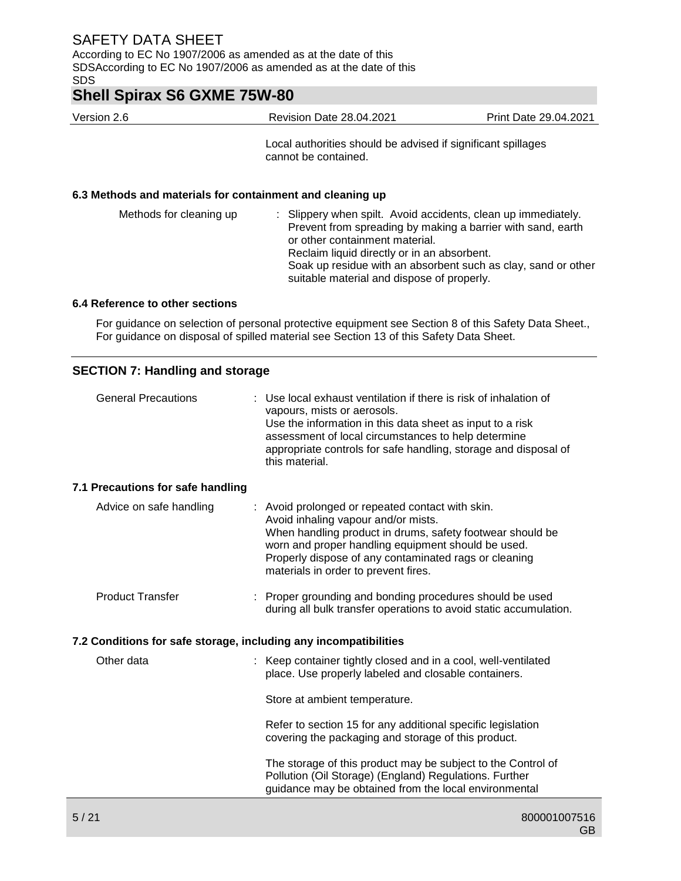According to EC No 1907/2006 as amended as at the date of this SDSAccording to EC No 1907/2006 as amended as at the date of this SDS

## **Shell Spirax S6 GXME 75W-80**

Version 2.6 Revision Date 28.04.2021 Print Date 29.04.2021

Local authorities should be advised if significant spillages cannot be contained.

### **6.3 Methods and materials for containment and cleaning up**

| Methods for cleaning up |  | : Slippery when spilt. Avoid accidents, clean up immediately.<br>Prevent from spreading by making a barrier with sand, earth<br>or other containment material.<br>Reclaim liquid directly or in an absorbent.<br>Soak up residue with an absorbent such as clay, sand or other<br>suitable material and dispose of properly. |
|-------------------------|--|------------------------------------------------------------------------------------------------------------------------------------------------------------------------------------------------------------------------------------------------------------------------------------------------------------------------------|
|-------------------------|--|------------------------------------------------------------------------------------------------------------------------------------------------------------------------------------------------------------------------------------------------------------------------------------------------------------------------------|

### **6.4 Reference to other sections**

For guidance on selection of personal protective equipment see Section 8 of this Safety Data Sheet., For guidance on disposal of spilled material see Section 13 of this Safety Data Sheet.

### **SECTION 7: Handling and storage**

| <b>General Precautions</b>                                       | : Use local exhaust ventilation if there is risk of inhalation of<br>vapours, mists or aerosols.<br>Use the information in this data sheet as input to a risk<br>assessment of local circumstances to help determine<br>appropriate controls for safe handling, storage and disposal of<br>this material.   |
|------------------------------------------------------------------|-------------------------------------------------------------------------------------------------------------------------------------------------------------------------------------------------------------------------------------------------------------------------------------------------------------|
| 7.1 Precautions for safe handling                                |                                                                                                                                                                                                                                                                                                             |
| Advice on safe handling                                          | : Avoid prolonged or repeated contact with skin.<br>Avoid inhaling vapour and/or mists.<br>When handling product in drums, safety footwear should be<br>worn and proper handling equipment should be used.<br>Properly dispose of any contaminated rags or cleaning<br>materials in order to prevent fires. |
| <b>Product Transfer</b>                                          | Proper grounding and bonding procedures should be used<br>during all bulk transfer operations to avoid static accumulation.                                                                                                                                                                                 |
| 7.2 Conditions for safe storage, including any incompatibilities |                                                                                                                                                                                                                                                                                                             |
| Other data                                                       | : Keep container tightly closed and in a cool, well-ventilated<br>place. Use properly labeled and closable containers.                                                                                                                                                                                      |
|                                                                  | Store at ambient temperature.                                                                                                                                                                                                                                                                               |
|                                                                  | Refer to section 15 for any additional specific legislation<br>covering the packaging and storage of this product.                                                                                                                                                                                          |
|                                                                  | The storage of this product may be subject to the Control of<br>Pollution (Oil Storage) (England) Regulations. Further<br>guidance may be obtained from the local environmental                                                                                                                             |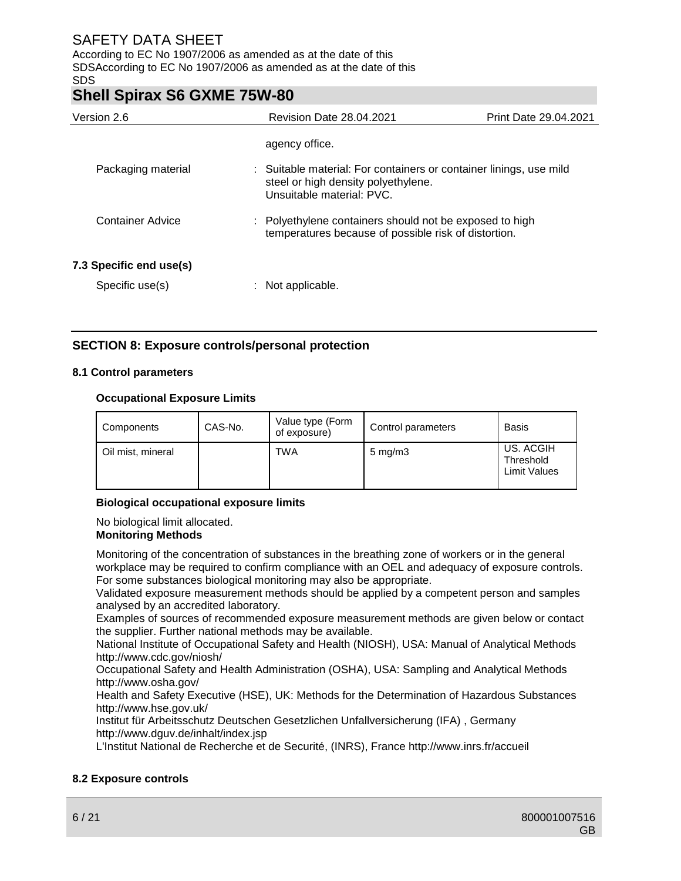According to EC No 1907/2006 as amended as at the date of this SDSAccording to EC No 1907/2006 as amended as at the date of this SDS

## **Shell Spirax S6 GXME 75W-80**

| Version 2.6             | <b>Revision Date 28.04.2021</b>                                                                                                        | <b>Print Date 29.04.2021</b> |
|-------------------------|----------------------------------------------------------------------------------------------------------------------------------------|------------------------------|
|                         | agency office.                                                                                                                         |                              |
| Packaging material      | : Suitable material: For containers or container linings, use mild<br>steel or high density polyethylene.<br>Unsuitable material: PVC. |                              |
| Container Advice        | : Polyethylene containers should not be exposed to high<br>temperatures because of possible risk of distortion.                        |                              |
| 7.3 Specific end use(s) |                                                                                                                                        |                              |
| Specific use(s)         | Not applicable.                                                                                                                        |                              |

### **SECTION 8: Exposure controls/personal protection**

### **8.1 Control parameters**

### **Occupational Exposure Limits**

| Components        | CAS-No. | Value type (Form<br>of exposure) | Control parameters  | <b>Basis</b>                                  |
|-------------------|---------|----------------------------------|---------------------|-----------------------------------------------|
| Oil mist, mineral |         | <b>TWA</b>                       | $5 \,\mathrm{mg/m}$ | US. ACGIH<br>Threshold<br><b>Limit Values</b> |

### **Biological occupational exposure limits**

No biological limit allocated.

### **Monitoring Methods**

Monitoring of the concentration of substances in the breathing zone of workers or in the general workplace may be required to confirm compliance with an OEL and adequacy of exposure controls. For some substances biological monitoring may also be appropriate.

Validated exposure measurement methods should be applied by a competent person and samples analysed by an accredited laboratory.

Examples of sources of recommended exposure measurement methods are given below or contact the supplier. Further national methods may be available.

National Institute of Occupational Safety and Health (NIOSH), USA: Manual of Analytical Methods http://www.cdc.gov/niosh/

Occupational Safety and Health Administration (OSHA), USA: Sampling and Analytical Methods http://www.osha.gov/

Health and Safety Executive (HSE), UK: Methods for the Determination of Hazardous Substances http://www.hse.gov.uk/

Institut für Arbeitsschutz Deutschen Gesetzlichen Unfallversicherung (IFA) , Germany http://www.dguv.de/inhalt/index.jsp

L'Institut National de Recherche et de Securité, (INRS), France http://www.inrs.fr/accueil

### **8.2 Exposure controls**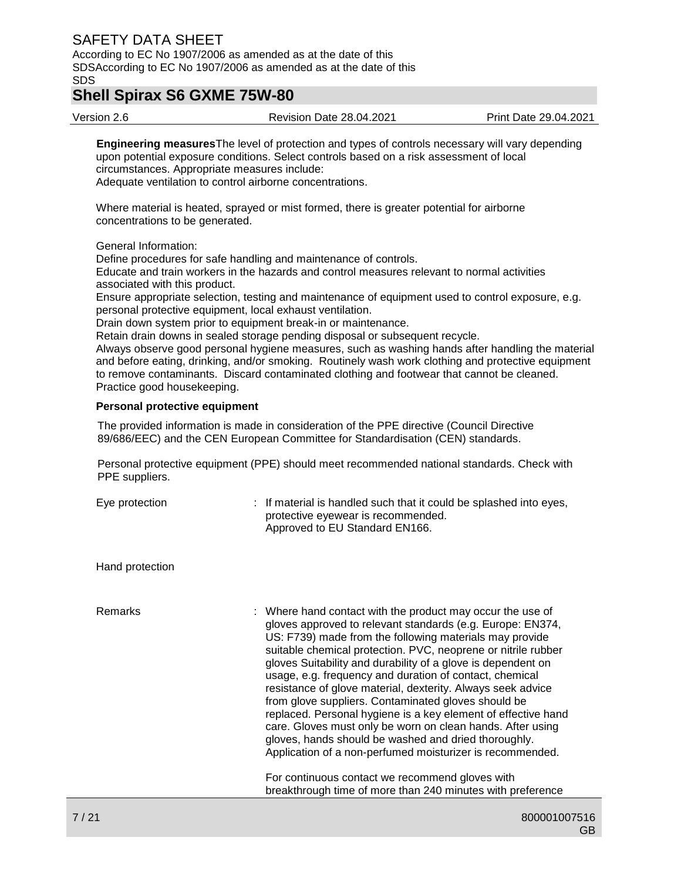According to EC No 1907/2006 as amended as at the date of this SDSAccording to EC No 1907/2006 as amended as at the date of this SDS

## **Shell Spirax S6 GXME 75W-80**

Version 2.6 Revision Date 28.04.2021 Print Date 29.04.2021

**Engineering measures**The level of protection and types of controls necessary will vary depending upon potential exposure conditions. Select controls based on a risk assessment of local circumstances. Appropriate measures include:

Adequate ventilation to control airborne concentrations.

Where material is heated, sprayed or mist formed, there is greater potential for airborne concentrations to be generated.

General Information:

Define procedures for safe handling and maintenance of controls.

Educate and train workers in the hazards and control measures relevant to normal activities associated with this product.

Ensure appropriate selection, testing and maintenance of equipment used to control exposure, e.g. personal protective equipment, local exhaust ventilation.

Drain down system prior to equipment break-in or maintenance.

Retain drain downs in sealed storage pending disposal or subsequent recycle.

Always observe good personal hygiene measures, such as washing hands after handling the material and before eating, drinking, and/or smoking. Routinely wash work clothing and protective equipment to remove contaminants. Discard contaminated clothing and footwear that cannot be cleaned. Practice good housekeeping.

### **Personal protective equipment**

The provided information is made in consideration of the PPE directive (Council Directive 89/686/EEC) and the CEN European Committee for Standardisation (CEN) standards.

Personal protective equipment (PPE) should meet recommended national standards. Check with PPE suppliers.

| Eye protection  | : If material is handled such that it could be splashed into eyes,<br>protective eyewear is recommended.<br>Approved to EU Standard EN166.                                                                                                                                                                                                                                                                                                                                                                                                                                                                                                                                                                                                                                                                   |
|-----------------|--------------------------------------------------------------------------------------------------------------------------------------------------------------------------------------------------------------------------------------------------------------------------------------------------------------------------------------------------------------------------------------------------------------------------------------------------------------------------------------------------------------------------------------------------------------------------------------------------------------------------------------------------------------------------------------------------------------------------------------------------------------------------------------------------------------|
| Hand protection |                                                                                                                                                                                                                                                                                                                                                                                                                                                                                                                                                                                                                                                                                                                                                                                                              |
| Remarks         | : Where hand contact with the product may occur the use of<br>gloves approved to relevant standards (e.g. Europe: EN374,<br>US: F739) made from the following materials may provide<br>suitable chemical protection. PVC, neoprene or nitrile rubber<br>gloves Suitability and durability of a glove is dependent on<br>usage, e.g. frequency and duration of contact, chemical<br>resistance of glove material, dexterity. Always seek advice<br>from glove suppliers. Contaminated gloves should be<br>replaced. Personal hygiene is a key element of effective hand<br>care. Gloves must only be worn on clean hands. After using<br>gloves, hands should be washed and dried thoroughly.<br>Application of a non-perfumed moisturizer is recommended.<br>For continuous contact we recommend gloves with |
|                 | breakthrough time of more than 240 minutes with preference                                                                                                                                                                                                                                                                                                                                                                                                                                                                                                                                                                                                                                                                                                                                                   |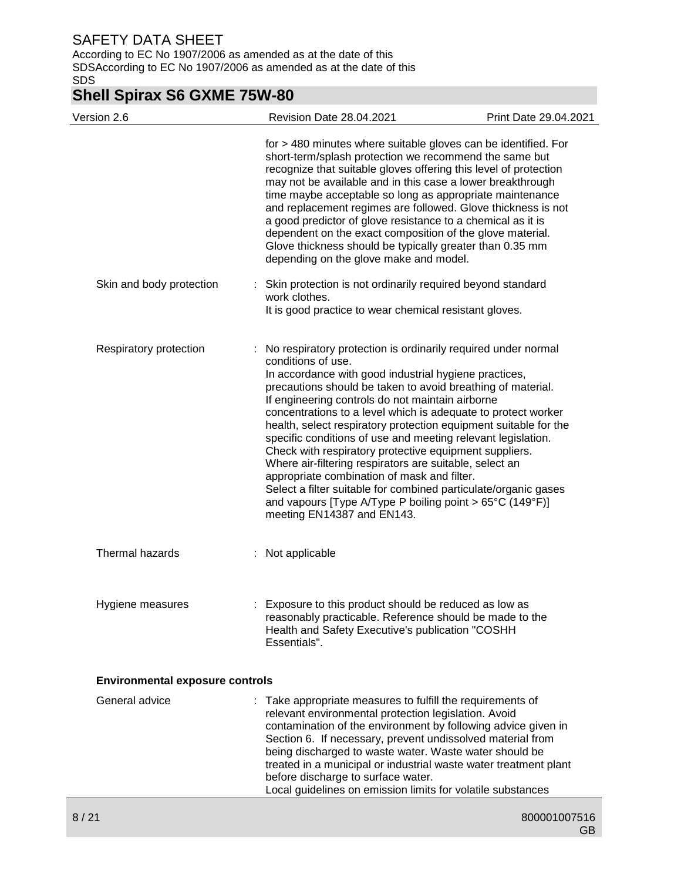According to EC No 1907/2006 as amended as at the date of this SDSAccording to EC No 1907/2006 as amended as at the date of this SDS

# **Shell Spirax S6 GXME 75W-80**

| Version 2.6                            | Revision Date 28.04.2021                                                                                                                                                                                                                                                                                                                                                                                                                                                                                                                                                                                                                                                                                                                                                                                        | Print Date 29.04.2021 |
|----------------------------------------|-----------------------------------------------------------------------------------------------------------------------------------------------------------------------------------------------------------------------------------------------------------------------------------------------------------------------------------------------------------------------------------------------------------------------------------------------------------------------------------------------------------------------------------------------------------------------------------------------------------------------------------------------------------------------------------------------------------------------------------------------------------------------------------------------------------------|-----------------------|
|                                        | for > 480 minutes where suitable gloves can be identified. For<br>short-term/splash protection we recommend the same but<br>recognize that suitable gloves offering this level of protection<br>may not be available and in this case a lower breakthrough<br>time maybe acceptable so long as appropriate maintenance<br>and replacement regimes are followed. Glove thickness is not<br>a good predictor of glove resistance to a chemical as it is<br>dependent on the exact composition of the glove material.<br>Glove thickness should be typically greater than 0.35 mm<br>depending on the glove make and model.                                                                                                                                                                                        |                       |
| Skin and body protection               | : Skin protection is not ordinarily required beyond standard<br>work clothes.<br>It is good practice to wear chemical resistant gloves.                                                                                                                                                                                                                                                                                                                                                                                                                                                                                                                                                                                                                                                                         |                       |
| Respiratory protection                 | No respiratory protection is ordinarily required under normal<br>conditions of use.<br>In accordance with good industrial hygiene practices,<br>precautions should be taken to avoid breathing of material.<br>If engineering controls do not maintain airborne<br>concentrations to a level which is adequate to protect worker<br>health, select respiratory protection equipment suitable for the<br>specific conditions of use and meeting relevant legislation.<br>Check with respiratory protective equipment suppliers.<br>Where air-filtering respirators are suitable, select an<br>appropriate combination of mask and filter.<br>Select a filter suitable for combined particulate/organic gases<br>and vapours [Type A/Type P boiling point > $65^{\circ}$ C (149°F)]<br>meeting EN14387 and EN143. |                       |
| Thermal hazards                        | : Not applicable                                                                                                                                                                                                                                                                                                                                                                                                                                                                                                                                                                                                                                                                                                                                                                                                |                       |
| Hygiene measures                       | Exposure to this product should be reduced as low as<br>reasonably practicable. Reference should be made to the<br>Health and Safety Executive's publication "COSHH<br>Essentials".                                                                                                                                                                                                                                                                                                                                                                                                                                                                                                                                                                                                                             |                       |
| <b>Environmental exposure controls</b> |                                                                                                                                                                                                                                                                                                                                                                                                                                                                                                                                                                                                                                                                                                                                                                                                                 |                       |
| General advice                         | : Take appropriate measures to fulfill the requirements of<br>relevant environmental protection legislation. Avoid<br>contamination of the environment by following advice given in<br>Section 6. If necessary, prevent undissolved material from<br>being discharged to waste water. Waste water should be<br>treated in a municipal or industrial waste water treatment plant<br>before discharge to surface water.<br>Local guidelines on emission limits for volatile substances                                                                                                                                                                                                                                                                                                                            |                       |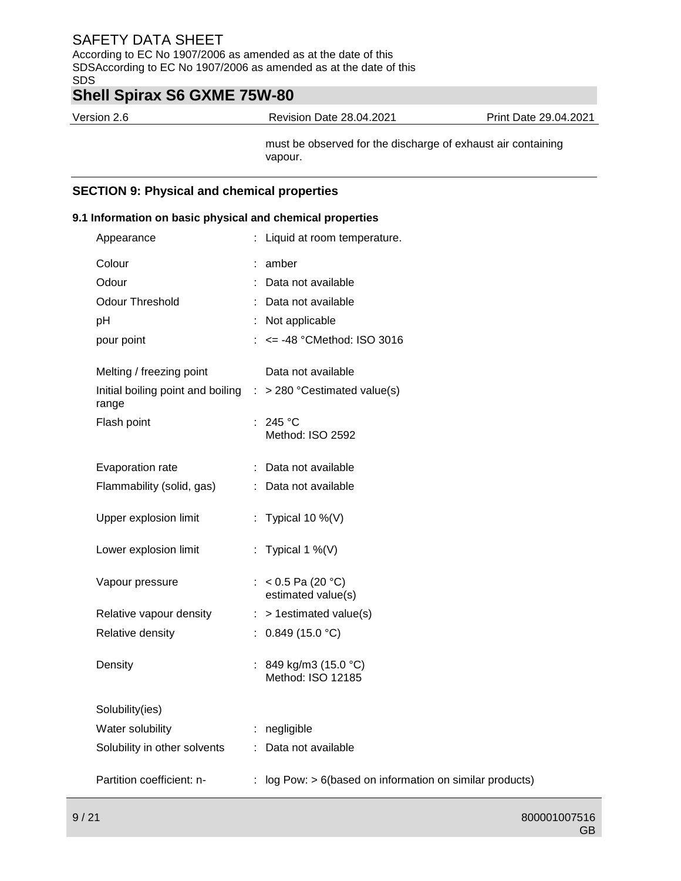According to EC No 1907/2006 as amended as at the date of this SDSAccording to EC No 1907/2006 as amended as at the date of this SDS

## **Shell Spirax S6 GXME 75W-80**

Version 2.6 Revision Date 28.04.2021 Print Date 29.04.2021

must be observed for the discharge of exhaust air containing vapour.

### **SECTION 9: Physical and chemical properties**

### **9.1 Information on basic physical and chemical properties**

| Appearance                                                              | : Liquid at room temperature.                               |
|-------------------------------------------------------------------------|-------------------------------------------------------------|
| Colour                                                                  | : amber                                                     |
| Odour                                                                   | : Data not available                                        |
| <b>Odour Threshold</b>                                                  | : Data not available                                        |
| pH                                                                      | : Not applicable                                            |
| pour point                                                              | $: \le$ = -48 °CMethod: ISO 3016                            |
|                                                                         |                                                             |
| Melting / freezing point                                                | Data not available                                          |
| Initial boiling point and boiling : > 280 °Cestimated value(s)<br>range |                                                             |
| Flash point                                                             | : 245 °C                                                    |
|                                                                         | Method: ISO 2592                                            |
| Evaporation rate                                                        | : Data not available                                        |
| Flammability (solid, gas)                                               | : Data not available                                        |
| Upper explosion limit                                                   | : Typical 10 %(V)                                           |
|                                                                         |                                                             |
| Lower explosion limit                                                   | : Typical 1 %(V)                                            |
| Vapour pressure                                                         | : < $0.5$ Pa (20 °C)                                        |
|                                                                         | estimated value(s)                                          |
| Relative vapour density                                                 | $:$ > 1 estimated value(s)                                  |
| Relative density                                                        | : $0.849(15.0 °C)$                                          |
| Density                                                                 | : 849 kg/m3 (15.0 °C)                                       |
|                                                                         | Method: ISO 12185                                           |
| Solubility(ies)                                                         |                                                             |
| Water solubility                                                        | : negligible                                                |
| Solubility in other solvents                                            | : Data not available                                        |
|                                                                         |                                                             |
| Partition coefficient: n-                                               | : log Pow: $> 6$ (based on information on similar products) |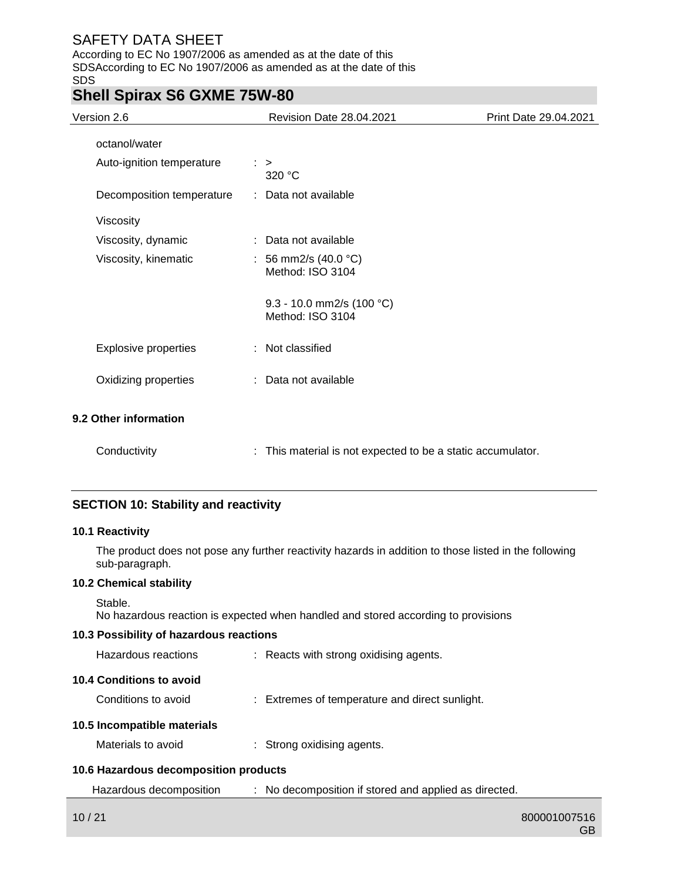According to EC No 1907/2006 as amended as at the date of this SDSAccording to EC No 1907/2006 as amended as at the date of this SDS

## **Shell Spirax S6 GXME 75W-80**

| Version 2.6                 | <b>Revision Date 28.04.2021</b>                           | Print Date 29.04.2021 |
|-----------------------------|-----------------------------------------------------------|-----------------------|
| octanol/water               |                                                           |                       |
| Auto-ignition temperature   | $\therefore$<br>320 °C                                    |                       |
| Decomposition temperature   | : Data not available                                      |                       |
| Viscosity                   |                                                           |                       |
| Viscosity, dynamic          | Data not available                                        |                       |
| Viscosity, kinematic        | : 56 mm2/s $(40.0 °C)$<br>Method: ISO 3104                |                       |
|                             | 9.3 - 10.0 mm2/s (100 °C)<br>Method: ISO 3104             |                       |
| <b>Explosive properties</b> | : Not classified                                          |                       |
| Oxidizing properties        | Data not available                                        |                       |
| 9.2 Other information       |                                                           |                       |
| Conductivity                | This material is not expected to be a static accumulator. |                       |

### **SECTION 10: Stability and reactivity**

### **10.1 Reactivity**

The product does not pose any further reactivity hazards in addition to those listed in the following sub-paragraph.

### **10.2 Chemical stability**

No hazardous reaction is expected when handled and stored according to provisions

### **10.3 Possibility of hazardous reactions**

| Hazardous reactions                   | : Reacts with strong oxidising agents.         |
|---------------------------------------|------------------------------------------------|
| 10.4 Conditions to avoid              |                                                |
| Conditions to avoid                   | : Extremes of temperature and direct sunlight. |
| 10.5 Incompatible materials           |                                                |
| Materials to avoid                    | $\therefore$ Strong oxidising agents.          |
| 10.6 Hazardous decomposition products |                                                |
|                                       |                                                |

### Hazardous decomposition : No decomposition if stored and applied as directed.

Stable.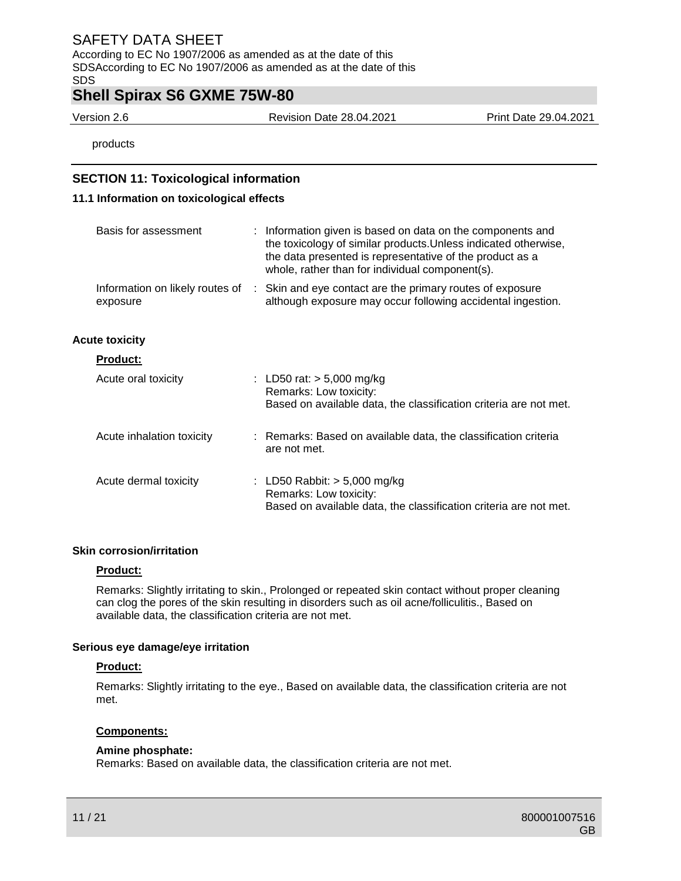According to EC No 1907/2006 as amended as at the date of this SDSAccording to EC No 1907/2006 as amended as at the date of this SDS

## **Shell Spirax S6 GXME 75W-80**

Version 2.6 Revision Date 28.04.2021 Print Date 29.04.2021

products

### **SECTION 11: Toxicological information**

### **11.1 Information on toxicological effects**

| Basis for assessment                          | : Information given is based on data on the components and<br>the toxicology of similar products. Unless indicated otherwise,<br>the data presented is representative of the product as a<br>whole, rather than for individual component(s). |
|-----------------------------------------------|----------------------------------------------------------------------------------------------------------------------------------------------------------------------------------------------------------------------------------------------|
| Information on likely routes of :<br>exposure | Skin and eye contact are the primary routes of exposure<br>although exposure may occur following accidental ingestion.                                                                                                                       |
| <b>Acute toxicity</b>                         |                                                                                                                                                                                                                                              |
| <b>Product:</b>                               |                                                                                                                                                                                                                                              |
| Acute oral toxicity                           | : LD50 rat: $> 5,000$ mg/kg<br>Remarks: Low toxicity:<br>Based on available data, the classification criteria are not met.                                                                                                                   |
| Acute inhalation toxicity                     | : Remarks: Based on available data, the classification criteria<br>are not met.                                                                                                                                                              |
| Acute dermal toxicity                         | : LD50 Rabbit: $>$ 5,000 mg/kg<br>Remarks: Low toxicity:<br>Based on available data, the classification criteria are not met.                                                                                                                |

### **Skin corrosion/irritation**

### **Product:**

Remarks: Slightly irritating to skin., Prolonged or repeated skin contact without proper cleaning can clog the pores of the skin resulting in disorders such as oil acne/folliculitis., Based on available data, the classification criteria are not met.

### **Serious eye damage/eye irritation**

### **Product:**

Remarks: Slightly irritating to the eye., Based on available data, the classification criteria are not met.

### **Components:**

### **Amine phosphate:**

Remarks: Based on available data, the classification criteria are not met.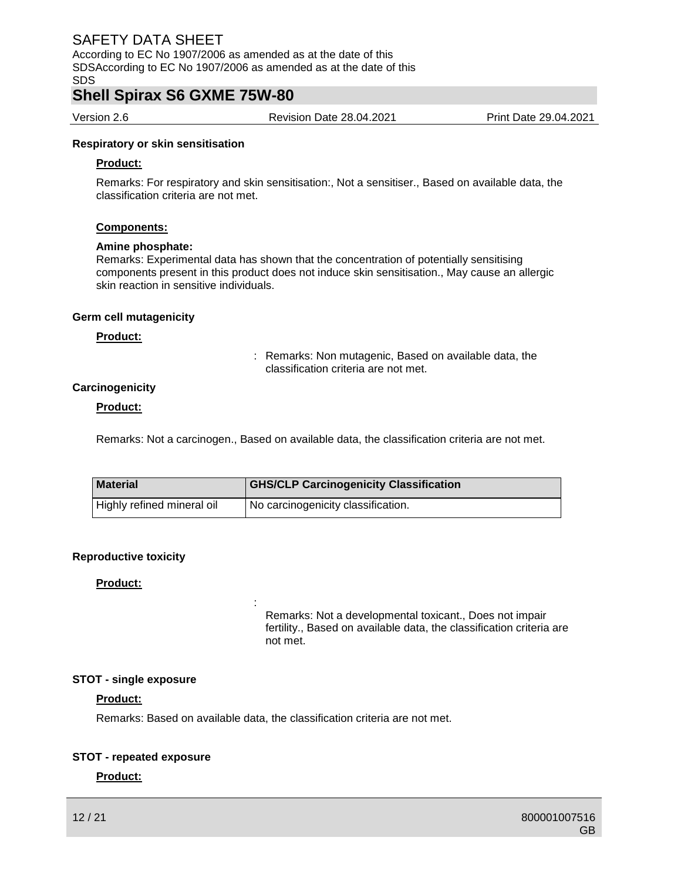According to EC No 1907/2006 as amended as at the date of this SDSAccording to EC No 1907/2006 as amended as at the date of this SDS

## **Shell Spirax S6 GXME 75W-80**

Version 2.6 Revision Date 28.04.2021 Print Date 29.04.2021

### **Respiratory or skin sensitisation**

#### **Product:**

Remarks: For respiratory and skin sensitisation:, Not a sensitiser., Based on available data, the classification criteria are not met.

### **Components:**

#### **Amine phosphate:**

Remarks: Experimental data has shown that the concentration of potentially sensitising components present in this product does not induce skin sensitisation., May cause an allergic skin reaction in sensitive individuals.

#### **Germ cell mutagenicity**

#### **Product:**

: Remarks: Non mutagenic, Based on available data, the classification criteria are not met.

### **Carcinogenicity**

### **Product:**

Remarks: Not a carcinogen., Based on available data, the classification criteria are not met.

| <b>Material</b>            | <b>GHS/CLP Carcinogenicity Classification</b> |  |  |
|----------------------------|-----------------------------------------------|--|--|
| Highly refined mineral oil | No carcinogenicity classification.            |  |  |

### **Reproductive toxicity**

### **Product:**

Remarks: Not a developmental toxicant., Does not impair fertility., Based on available data, the classification criteria are not met.

### **STOT - single exposure**

### **Product:**

Remarks: Based on available data, the classification criteria are not met.

:

### **STOT - repeated exposure**

### **Product:**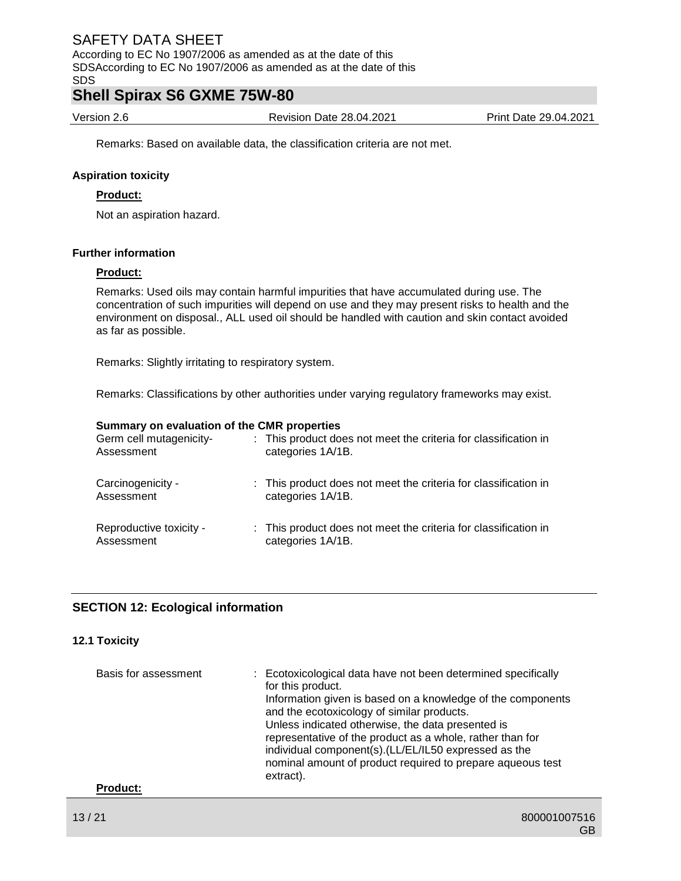According to EC No 1907/2006 as amended as at the date of this SDSAccording to EC No 1907/2006 as amended as at the date of this SDS

### **Shell Spirax S6 GXME 75W-80**

Version 2.6 Revision Date 28.04.2021 Print Date 29.04.2021

Remarks: Based on available data, the classification criteria are not met.

### **Aspiration toxicity**

### **Product:**

Not an aspiration hazard.

### **Further information**

### **Product:**

Remarks: Used oils may contain harmful impurities that have accumulated during use. The concentration of such impurities will depend on use and they may present risks to health and the environment on disposal., ALL used oil should be handled with caution and skin contact avoided as far as possible.

Remarks: Slightly irritating to respiratory system.

Remarks: Classifications by other authorities under varying regulatory frameworks may exist.

#### **Summary on evaluation of the CMR properties**

| Germ cell mutagenicity-<br>Assessment | : This product does not meet the criteria for classification in<br>categories 1A/1B. |
|---------------------------------------|--------------------------------------------------------------------------------------|
| Carcinogenicity -<br>Assessment       | : This product does not meet the criteria for classification in<br>categories 1A/1B. |
| Reproductive toxicity -<br>Assessment | : This product does not meet the criteria for classification in<br>categories 1A/1B. |

### **SECTION 12: Ecological information**

### **12.1 Toxicity**

| Basis for assessment | : Ecotoxicological data have not been determined specifically<br>for this product.<br>Information given is based on a knowledge of the components<br>and the ecotoxicology of similar products.<br>Unless indicated otherwise, the data presented is<br>representative of the product as a whole, rather than for<br>individual component(s). (LL/EL/IL50 expressed as the<br>nominal amount of product required to prepare aqueous test<br>extract). |
|----------------------|-------------------------------------------------------------------------------------------------------------------------------------------------------------------------------------------------------------------------------------------------------------------------------------------------------------------------------------------------------------------------------------------------------------------------------------------------------|
| <b>Product:</b>      |                                                                                                                                                                                                                                                                                                                                                                                                                                                       |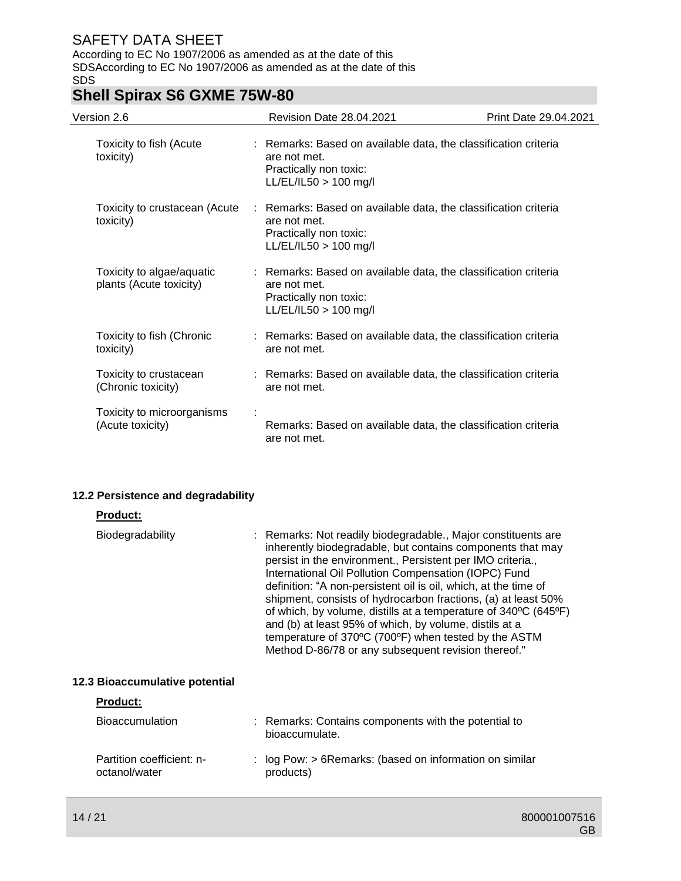According to EC No 1907/2006 as amended as at the date of this SDSAccording to EC No 1907/2006 as amended as at the date of this SDS

# **Shell Spirax S6 GXME 75W-80**

| Version 2.6                                          |              | <b>Revision Date 28.04.2021</b><br>Print Date 29.04.2021                                                             |  |  |
|------------------------------------------------------|--------------|----------------------------------------------------------------------------------------------------------------------|--|--|
| Toxicity to fish (Acute<br>toxicity)                 | are not met. | : Remarks: Based on available data, the classification criteria<br>Practically non toxic:<br>$LL/EL/IL50 > 100$ mg/l |  |  |
| Toxicity to crustacean (Acute<br>toxicity)           | are not met. | : Remarks: Based on available data, the classification criteria<br>Practically non toxic:<br>$LL/EL/IL50 > 100$ mg/l |  |  |
| Toxicity to algae/aquatic<br>plants (Acute toxicity) | are not met. | : Remarks: Based on available data, the classification criteria<br>Practically non toxic:<br>LL/EL/IL50 > 100 mg/l   |  |  |
| Toxicity to fish (Chronic<br>toxicity)               | are not met. | : Remarks: Based on available data, the classification criteria                                                      |  |  |
| Toxicity to crustacean<br>(Chronic toxicity)         | are not met. | : Remarks: Based on available data, the classification criteria                                                      |  |  |
| Toxicity to microorganisms<br>(Acute toxicity)       | are not met. | Remarks: Based on available data, the classification criteria                                                        |  |  |

### **12.2 Persistence and degradability**

| <b>Product:</b>                            |                                                                                                                                                                                                                                                                                                                                                                                                                                                                                                                                                                                                                                   |
|--------------------------------------------|-----------------------------------------------------------------------------------------------------------------------------------------------------------------------------------------------------------------------------------------------------------------------------------------------------------------------------------------------------------------------------------------------------------------------------------------------------------------------------------------------------------------------------------------------------------------------------------------------------------------------------------|
| <b>Biodegradability</b>                    | : Remarks: Not readily biodegradable., Major constituents are<br>inherently biodegradable, but contains components that may<br>persist in the environment., Persistent per IMO criteria.,<br>International Oil Pollution Compensation (IOPC) Fund<br>definition: "A non-persistent oil is oil, which, at the time of<br>shipment, consists of hydrocarbon fractions, (a) at least 50%<br>of which, by volume, distills at a temperature of 340°C (645°F)<br>and (b) at least 95% of which, by volume, distils at a<br>temperature of 370°C (700°F) when tested by the ASTM<br>Method D-86/78 or any subsequent revision thereof." |
| 12.3 Bioaccumulative potential             |                                                                                                                                                                                                                                                                                                                                                                                                                                                                                                                                                                                                                                   |
| <b>Product:</b>                            |                                                                                                                                                                                                                                                                                                                                                                                                                                                                                                                                                                                                                                   |
| <b>Bioaccumulation</b>                     | : Remarks: Contains components with the potential to<br>bioaccumulate.                                                                                                                                                                                                                                                                                                                                                                                                                                                                                                                                                            |
| Partition coefficient: n-<br>octanol/water | : $log Pow:$ > 6 Remarks: (based on information on similar<br>products)                                                                                                                                                                                                                                                                                                                                                                                                                                                                                                                                                           |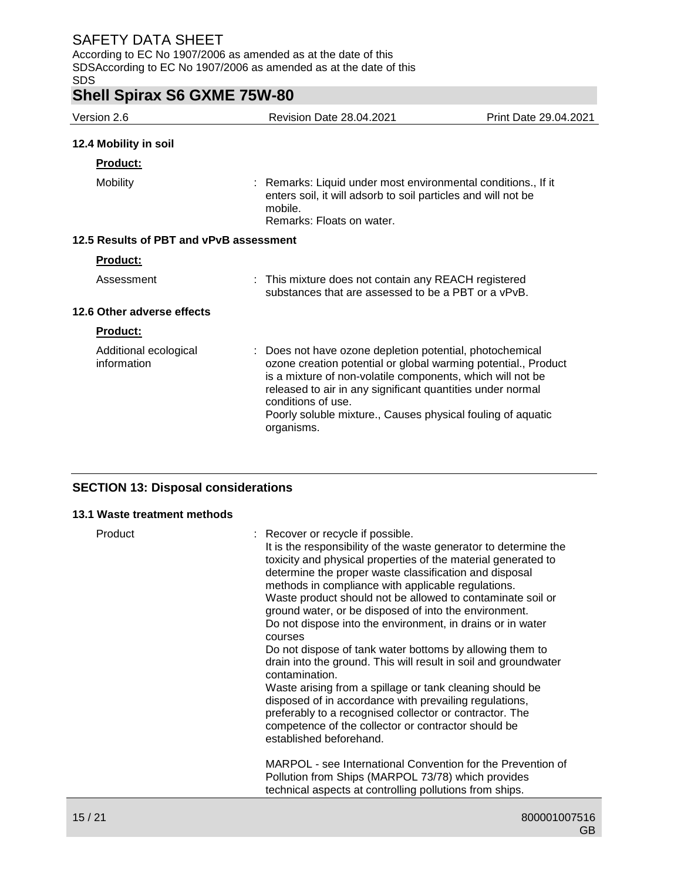According to EC No 1907/2006 as amended as at the date of this SDSAccording to EC No 1907/2006 as amended as at the date of this SDS

# **Shell Spirax S6 GXME 75W-80**

| Version 2.6                             | <b>Revision Date 28.04.2021</b>                                                                                                                                                                                                                                                                                                                           | Print Date 29.04.2021 |
|-----------------------------------------|-----------------------------------------------------------------------------------------------------------------------------------------------------------------------------------------------------------------------------------------------------------------------------------------------------------------------------------------------------------|-----------------------|
| 12.4 Mobility in soil                   |                                                                                                                                                                                                                                                                                                                                                           |                       |
| Product:                                |                                                                                                                                                                                                                                                                                                                                                           |                       |
| <b>Mobility</b>                         | : Remarks: Liquid under most environmental conditions., If it<br>enters soil, it will adsorb to soil particles and will not be<br>mobile.<br>Remarks: Floats on water.                                                                                                                                                                                    |                       |
| 12.5 Results of PBT and vPvB assessment |                                                                                                                                                                                                                                                                                                                                                           |                       |
| Product:                                |                                                                                                                                                                                                                                                                                                                                                           |                       |
| Assessment                              | : This mixture does not contain any REACH registered<br>substances that are assessed to be a PBT or a vPvB.                                                                                                                                                                                                                                               |                       |
| 12.6 Other adverse effects              |                                                                                                                                                                                                                                                                                                                                                           |                       |
| Product:                                |                                                                                                                                                                                                                                                                                                                                                           |                       |
| Additional ecological<br>information    | : Does not have ozone depletion potential, photochemical<br>ozone creation potential or global warming potential., Product<br>is a mixture of non-volatile components, which will not be<br>released to air in any significant quantities under normal<br>conditions of use.<br>Poorly soluble mixture., Causes physical fouling of aquatic<br>organisms. |                       |

### **SECTION 13: Disposal considerations**

### **13.1 Waste treatment methods**

| Product | : Recover or recycle if possible.<br>It is the responsibility of the waste generator to determine the<br>toxicity and physical properties of the material generated to<br>determine the proper waste classification and disposal<br>methods in compliance with applicable regulations.<br>Waste product should not be allowed to contaminate soil or<br>ground water, or be disposed of into the environment.<br>Do not dispose into the environment, in drains or in water<br>courses<br>Do not dispose of tank water bottoms by allowing them to<br>drain into the ground. This will result in soil and groundwater<br>contamination.<br>Waste arising from a spillage or tank cleaning should be<br>disposed of in accordance with prevailing regulations,<br>preferably to a recognised collector or contractor. The<br>competence of the collector or contractor should be<br>established beforehand. |
|---------|------------------------------------------------------------------------------------------------------------------------------------------------------------------------------------------------------------------------------------------------------------------------------------------------------------------------------------------------------------------------------------------------------------------------------------------------------------------------------------------------------------------------------------------------------------------------------------------------------------------------------------------------------------------------------------------------------------------------------------------------------------------------------------------------------------------------------------------------------------------------------------------------------------|
|         | MARPOL - see International Convention for the Prevention of<br>Pollution from Ships (MARPOL 73/78) which provides<br>technical aspects at controlling pollutions from ships.                                                                                                                                                                                                                                                                                                                                                                                                                                                                                                                                                                                                                                                                                                                               |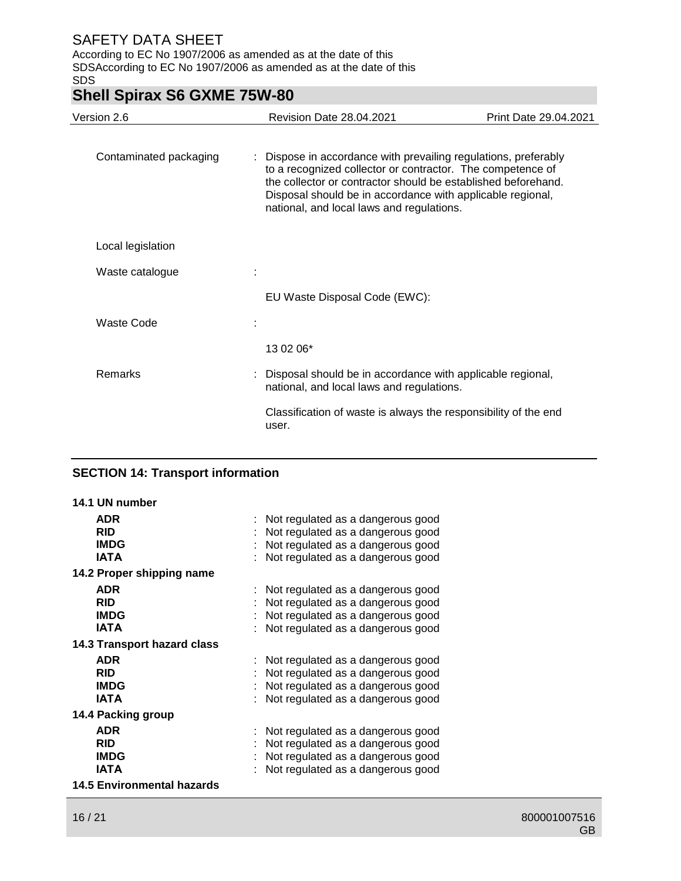According to EC No 1907/2006 as amended as at the date of this SDSAccording to EC No 1907/2006 as amended as at the date of this SDS

# **Shell Spirax S6 GXME 75W-80**

| Version 2.6            | <b>Revision Date 28.04.2021</b>                                                                                                                                                                                                                                                                           | Print Date 29.04.2021 |
|------------------------|-----------------------------------------------------------------------------------------------------------------------------------------------------------------------------------------------------------------------------------------------------------------------------------------------------------|-----------------------|
| Contaminated packaging | : Dispose in accordance with prevailing regulations, preferably<br>to a recognized collector or contractor. The competence of<br>the collector or contractor should be established beforehand.<br>Disposal should be in accordance with applicable regional,<br>national, and local laws and regulations. |                       |
| Local legislation      |                                                                                                                                                                                                                                                                                                           |                       |
| Waste catalogue        |                                                                                                                                                                                                                                                                                                           |                       |
|                        | EU Waste Disposal Code (EWC):                                                                                                                                                                                                                                                                             |                       |
| Waste Code             |                                                                                                                                                                                                                                                                                                           |                       |
|                        | 13 02 06*                                                                                                                                                                                                                                                                                                 |                       |
| Remarks                | : Disposal should be in accordance with applicable regional,<br>national, and local laws and regulations.                                                                                                                                                                                                 |                       |
|                        | Classification of waste is always the responsibility of the end<br>user.                                                                                                                                                                                                                                  |                       |
|                        |                                                                                                                                                                                                                                                                                                           |                       |

### **SECTION 14: Transport information**

| 14.1 UN number                    |                                   |
|-----------------------------------|-----------------------------------|
| <b>ADR</b>                        | Not regulated as a dangerous good |
| <b>RID</b>                        | Not regulated as a dangerous good |
| <b>IMDG</b>                       | Not regulated as a dangerous good |
| <b>IATA</b>                       | Not regulated as a dangerous good |
| 14.2 Proper shipping name         |                                   |
| <b>ADR</b>                        | Not regulated as a dangerous good |
| <b>RID</b>                        | Not regulated as a dangerous good |
| <b>IMDG</b>                       | Not regulated as a dangerous good |
| <b>IATA</b>                       | Not regulated as a dangerous good |
| 14.3 Transport hazard class       |                                   |
| <b>ADR</b>                        | Not regulated as a dangerous good |
| <b>RID</b>                        | Not regulated as a dangerous good |
| <b>IMDG</b>                       | Not regulated as a dangerous good |
| <b>IATA</b>                       | Not regulated as a dangerous good |
| 14.4 Packing group                |                                   |
| <b>ADR</b>                        | Not regulated as a dangerous good |
| <b>RID</b>                        | Not regulated as a dangerous good |
| <b>IMDG</b>                       | Not regulated as a dangerous good |
| <b>IATA</b>                       | Not regulated as a dangerous good |
| <b>14.5 Environmental hazards</b> |                                   |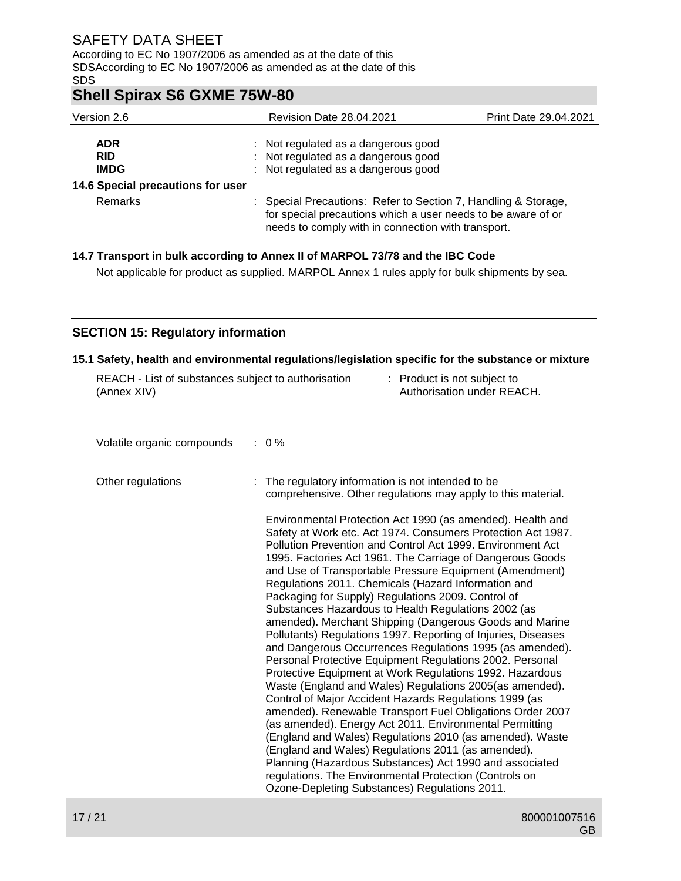According to EC No 1907/2006 as amended as at the date of this SDSAccording to EC No 1907/2006 as amended as at the date of this SDS

## **Shell Spirax S6 GXME 75W-80**

| Version 2.6                             | <b>Revision Date 28.04.2021</b>                                                                                                                                                      | <b>Print Date 29.04.2021</b> |
|-----------------------------------------|--------------------------------------------------------------------------------------------------------------------------------------------------------------------------------------|------------------------------|
| <b>ADR</b><br><b>RID</b><br><b>IMDG</b> | : Not regulated as a dangerous good<br>: Not regulated as a dangerous good<br>: Not regulated as a dangerous good                                                                    |                              |
| 14.6 Special precautions for user       |                                                                                                                                                                                      |                              |
| Remarks                                 | : Special Precautions: Refer to Section 7, Handling & Storage,<br>for special precautions which a user needs to be aware of or<br>needs to comply with in connection with transport. |                              |

### **14.7 Transport in bulk according to Annex II of MARPOL 73/78 and the IBC Code**

Not applicable for product as supplied. MARPOL Annex 1 rules apply for bulk shipments by sea.

### **SECTION 15: Regulatory information**

### **15.1 Safety, health and environmental regulations/legislation specific for the substance or mixture**

| REACH - List of substances subject to authorisation<br>(Annex XIV) | : Product is not subject to<br>Authorisation under REACH.                                                                                                                                                                                                                                                                                                                                                                                                                                                                                                                                                                                                                                                                                                                                                                                                                                                                                                                                                                                                                                                                                                                                                                                                                                                                                                                                                                                                      |
|--------------------------------------------------------------------|----------------------------------------------------------------------------------------------------------------------------------------------------------------------------------------------------------------------------------------------------------------------------------------------------------------------------------------------------------------------------------------------------------------------------------------------------------------------------------------------------------------------------------------------------------------------------------------------------------------------------------------------------------------------------------------------------------------------------------------------------------------------------------------------------------------------------------------------------------------------------------------------------------------------------------------------------------------------------------------------------------------------------------------------------------------------------------------------------------------------------------------------------------------------------------------------------------------------------------------------------------------------------------------------------------------------------------------------------------------------------------------------------------------------------------------------------------------|
| Volatile organic compounds                                         | $: 0\%$                                                                                                                                                                                                                                                                                                                                                                                                                                                                                                                                                                                                                                                                                                                                                                                                                                                                                                                                                                                                                                                                                                                                                                                                                                                                                                                                                                                                                                                        |
| Other regulations                                                  | The regulatory information is not intended to be<br>comprehensive. Other regulations may apply to this material.<br>Environmental Protection Act 1990 (as amended). Health and<br>Safety at Work etc. Act 1974. Consumers Protection Act 1987.<br>Pollution Prevention and Control Act 1999. Environment Act<br>1995. Factories Act 1961. The Carriage of Dangerous Goods<br>and Use of Transportable Pressure Equipment (Amendment)<br>Regulations 2011. Chemicals (Hazard Information and<br>Packaging for Supply) Regulations 2009. Control of<br>Substances Hazardous to Health Regulations 2002 (as<br>amended). Merchant Shipping (Dangerous Goods and Marine<br>Pollutants) Regulations 1997. Reporting of Injuries, Diseases<br>and Dangerous Occurrences Regulations 1995 (as amended).<br>Personal Protective Equipment Regulations 2002. Personal<br>Protective Equipment at Work Regulations 1992. Hazardous<br>Waste (England and Wales) Regulations 2005 (as amended).<br>Control of Major Accident Hazards Regulations 1999 (as<br>amended). Renewable Transport Fuel Obligations Order 2007<br>(as amended). Energy Act 2011. Environmental Permitting<br>(England and Wales) Regulations 2010 (as amended). Waste<br>(England and Wales) Regulations 2011 (as amended).<br>Planning (Hazardous Substances) Act 1990 and associated<br>regulations. The Environmental Protection (Controls on<br>Ozone-Depleting Substances) Regulations 2011. |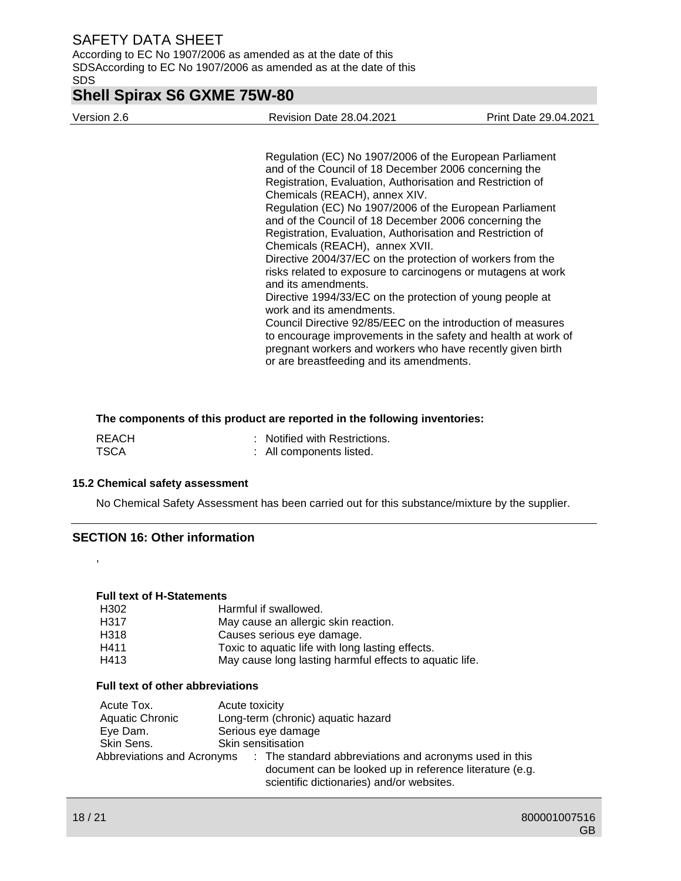According to EC No 1907/2006 as amended as at the date of this SDSAccording to EC No 1907/2006 as amended as at the date of this SDS

## **Shell Spirax S6 GXME 75W-80**

Version 2.6 Revision Date 28.04.2021 Print Date 29.04.2021

Regulation (EC) No 1907/2006 of the European Parliament and of the Council of 18 December 2006 concerning the Registration, Evaluation, Authorisation and Restriction of Chemicals (REACH), annex XIV. Regulation (EC) No 1907/2006 of the European Parliament and of the Council of 18 December 2006 concerning the Registration, Evaluation, Authorisation and Restriction of Chemicals (REACH), annex XVII. Directive 2004/37/EC on the protection of workers from the risks related to exposure to carcinogens or mutagens at work and its amendments. Directive 1994/33/EC on the protection of young people at work and its amendments. Council Directive 92/85/EEC on the introduction of measures to encourage improvements in the safety and health at work of pregnant workers and workers who have recently given birth

### **The components of this product are reported in the following inventories:**

| REACH       | : Notified with Restrictions. |
|-------------|-------------------------------|
| <b>TSCA</b> | : All components listed.      |

### **15.2 Chemical safety assessment**

No Chemical Safety Assessment has been carried out for this substance/mixture by the supplier.

or are breastfeeding and its amendments.

### **SECTION 16: Other information**

### **Full text of H-Statements**

| H302                             | Harmful if swallowed.                                   |
|----------------------------------|---------------------------------------------------------|
| H317                             | May cause an allergic skin reaction.                    |
| H318                             | Causes serious eye damage.                              |
| H411                             | Toxic to aquatic life with long lasting effects.        |
| H413                             | May cause long lasting harmful effects to aquatic life. |
| Full text of other abbreviations |                                                         |
| Acute Tox.                       | Acute toxicity                                          |
| Aquistic Chronic                 | Long-term (chronic) aquetic hezerd                      |

| Aquatic Chronic            | Long-term (chronic) aquatic hazard                                                                                                                             |  |  |
|----------------------------|----------------------------------------------------------------------------------------------------------------------------------------------------------------|--|--|
| Eye Dam.                   | Serious eye damage                                                                                                                                             |  |  |
| Skin Sens.                 | Skin sensitisation                                                                                                                                             |  |  |
| Abbreviations and Acronyms | : The standard abbreviations and acronyms used in this<br>document can be looked up in reference literature (e.g.<br>scientific dictionaries) and/or websites. |  |  |

,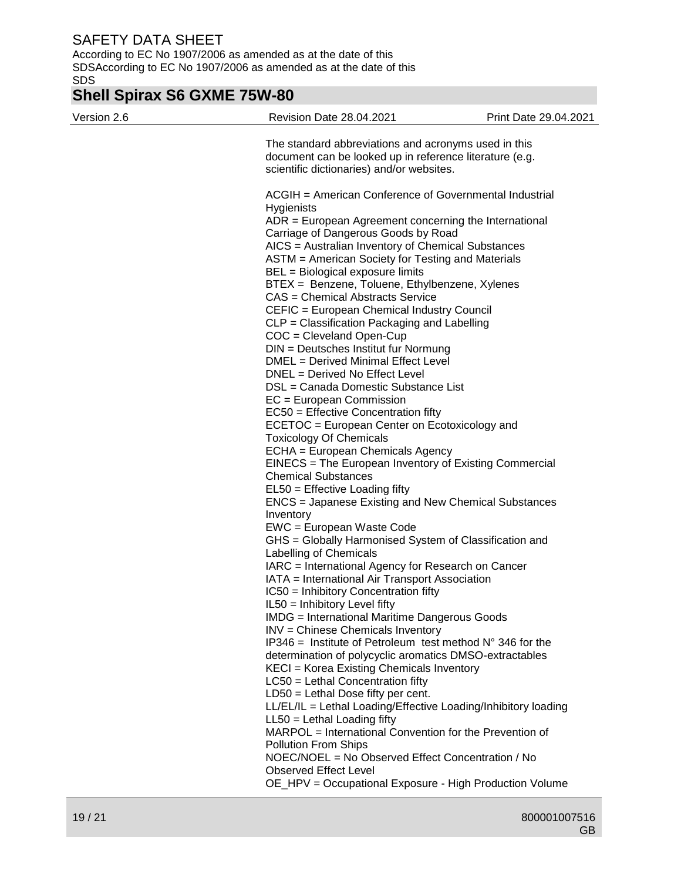According to EC No 1907/2006 as amended as at the date of this SDSAccording to EC No 1907/2006 as amended as at the date of this SDS

# **Shell Spirax S6 GXME 75W-80**

| Version 2.6 | Revision Date 28.04.2021                                                                                                                                                                                                                                                                                                                                                                                                                                                                                                                                                                                                                                                                                                                                                                                                                                                                                                                                                                                                                                                                                                     | Print Date 29.04.2021 |
|-------------|------------------------------------------------------------------------------------------------------------------------------------------------------------------------------------------------------------------------------------------------------------------------------------------------------------------------------------------------------------------------------------------------------------------------------------------------------------------------------------------------------------------------------------------------------------------------------------------------------------------------------------------------------------------------------------------------------------------------------------------------------------------------------------------------------------------------------------------------------------------------------------------------------------------------------------------------------------------------------------------------------------------------------------------------------------------------------------------------------------------------------|-----------------------|
|             | The standard abbreviations and acronyms used in this<br>document can be looked up in reference literature (e.g.<br>scientific dictionaries) and/or websites.                                                                                                                                                                                                                                                                                                                                                                                                                                                                                                                                                                                                                                                                                                                                                                                                                                                                                                                                                                 |                       |
|             | ACGIH = American Conference of Governmental Industrial<br><b>Hygienists</b><br>ADR = European Agreement concerning the International<br>Carriage of Dangerous Goods by Road<br>AICS = Australian Inventory of Chemical Substances<br>ASTM = American Society for Testing and Materials<br>BEL = Biological exposure limits<br>BTEX = Benzene, Toluene, Ethylbenzene, Xylenes<br>CAS = Chemical Abstracts Service<br>CEFIC = European Chemical Industry Council<br>CLP = Classification Packaging and Labelling<br>COC = Cleveland Open-Cup<br>DIN = Deutsches Institut fur Normung<br>DMEL = Derived Minimal Effect Level<br>DNEL = Derived No Effect Level<br>DSL = Canada Domestic Substance List<br>EC = European Commission<br>$EC50 =$ Effective Concentration fifty<br>ECETOC = European Center on Ecotoxicology and<br><b>Toxicology Of Chemicals</b><br>ECHA = European Chemicals Agency<br>EINECS = The European Inventory of Existing Commercial<br><b>Chemical Substances</b><br>EL50 = Effective Loading fifty<br>ENCS = Japanese Existing and New Chemical Substances<br>Inventory<br>EWC = European Waste Code |                       |
|             | GHS = Globally Harmonised System of Classification and<br>Labelling of Chemicals<br>IARC = International Agency for Research on Cancer<br>IATA = International Air Transport Association<br>IC50 = Inhibitory Concentration fifty<br>IL50 = Inhibitory Level fifty                                                                                                                                                                                                                                                                                                                                                                                                                                                                                                                                                                                                                                                                                                                                                                                                                                                           |                       |
|             | <b>IMDG</b> = International Maritime Dangerous Goods<br>INV = Chinese Chemicals Inventory<br>$IP346$ = Institute of Petroleum test method $N^{\circ}$ 346 for the<br>determination of polycyclic aromatics DMSO-extractables<br>KECI = Korea Existing Chemicals Inventory<br>$LC50$ = Lethal Concentration fifty                                                                                                                                                                                                                                                                                                                                                                                                                                                                                                                                                                                                                                                                                                                                                                                                             |                       |
|             | $LD50 = Lethal Does fifty per cent.$<br>LL/EL/IL = Lethal Loading/Effective Loading/Inhibitory loading<br>LL50 = Lethal Loading fifty<br>MARPOL = International Convention for the Prevention of<br><b>Pollution From Ships</b><br>NOEC/NOEL = No Observed Effect Concentration / No<br><b>Observed Effect Level</b>                                                                                                                                                                                                                                                                                                                                                                                                                                                                                                                                                                                                                                                                                                                                                                                                         |                       |
|             | OE_HPV = Occupational Exposure - High Production Volume                                                                                                                                                                                                                                                                                                                                                                                                                                                                                                                                                                                                                                                                                                                                                                                                                                                                                                                                                                                                                                                                      |                       |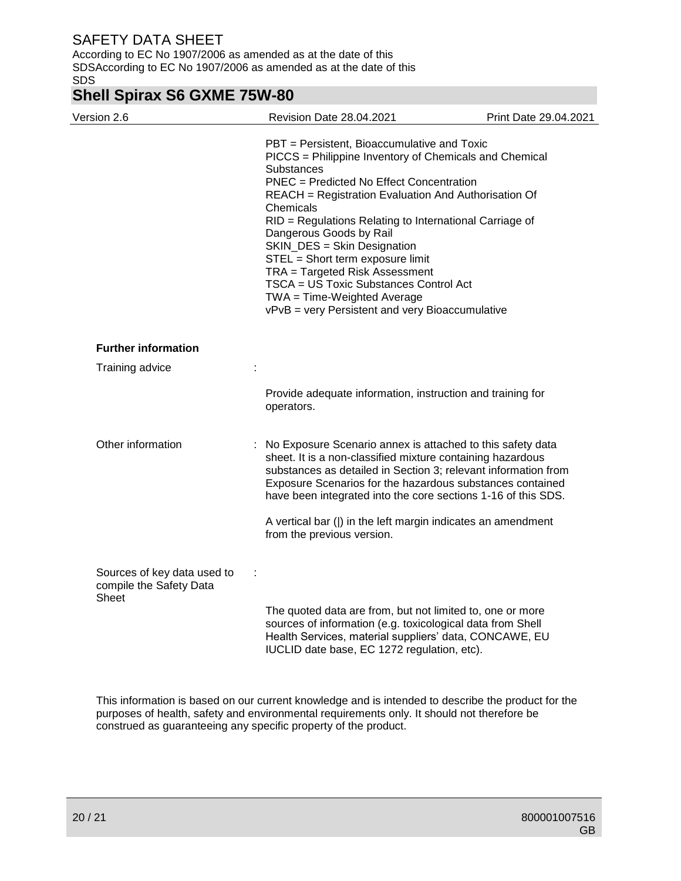According to EC No 1907/2006 as amended as at the date of this SDSAccording to EC No 1907/2006 as amended as at the date of this SDS

## **Shell Spirax S6 GXME 75W-80**

| Version 2.6                                                            | Revision Date 28.04.2021                                                                                                                                                                                                                                                                                                                                                                                                                                                                                                                                           | Print Date 29.04.2021 |
|------------------------------------------------------------------------|--------------------------------------------------------------------------------------------------------------------------------------------------------------------------------------------------------------------------------------------------------------------------------------------------------------------------------------------------------------------------------------------------------------------------------------------------------------------------------------------------------------------------------------------------------------------|-----------------------|
|                                                                        | PBT = Persistent, Bioaccumulative and Toxic<br>PICCS = Philippine Inventory of Chemicals and Chemical<br>Substances<br><b>PNEC</b> = Predicted No Effect Concentration<br>REACH = Registration Evaluation And Authorisation Of<br>Chemicals<br>RID = Regulations Relating to International Carriage of<br>Dangerous Goods by Rail<br>SKIN_DES = Skin Designation<br>STEL = Short term exposure limit<br>TRA = Targeted Risk Assessment<br>TSCA = US Toxic Substances Control Act<br>TWA = Time-Weighted Average<br>vPvB = very Persistent and very Bioaccumulative |                       |
| <b>Further information</b>                                             |                                                                                                                                                                                                                                                                                                                                                                                                                                                                                                                                                                    |                       |
| Training advice                                                        |                                                                                                                                                                                                                                                                                                                                                                                                                                                                                                                                                                    |                       |
|                                                                        | Provide adequate information, instruction and training for<br>operators.                                                                                                                                                                                                                                                                                                                                                                                                                                                                                           |                       |
| Other information                                                      | : No Exposure Scenario annex is attached to this safety data<br>sheet. It is a non-classified mixture containing hazardous<br>substances as detailed in Section 3; relevant information from<br>Exposure Scenarios for the hazardous substances contained<br>have been integrated into the core sections 1-16 of this SDS.<br>A vertical bar ( ) in the left margin indicates an amendment                                                                                                                                                                         |                       |
|                                                                        | from the previous version.                                                                                                                                                                                                                                                                                                                                                                                                                                                                                                                                         |                       |
| Sources of key data used to<br>compile the Safety Data<br><b>Sheet</b> | ÷                                                                                                                                                                                                                                                                                                                                                                                                                                                                                                                                                                  |                       |
|                                                                        | The quoted data are from, but not limited to, one or more<br>sources of information (e.g. toxicological data from Shell<br>Health Services, material suppliers' data, CONCAWE, EU<br>IUCLID date base, EC 1272 regulation, etc).                                                                                                                                                                                                                                                                                                                                   |                       |

This information is based on our current knowledge and is intended to describe the product for the purposes of health, safety and environmental requirements only. It should not therefore be construed as guaranteeing any specific property of the product.